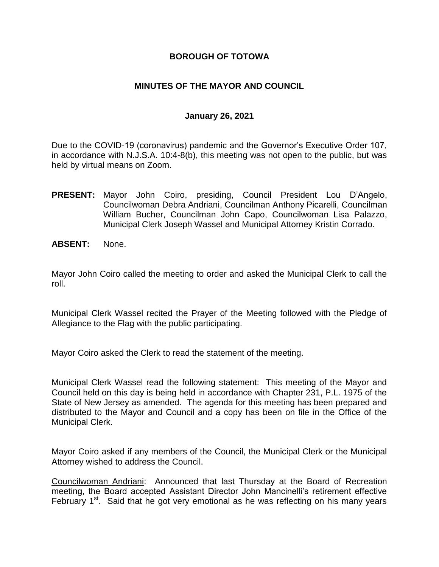#### **BOROUGH OF TOTOWA**

#### **MINUTES OF THE MAYOR AND COUNCIL**

#### **January 26, 2021**

Due to the COVID-19 (coronavirus) pandemic and the Governor's Executive Order 107, in accordance with N.J.S.A. 10:4-8(b), this meeting was not open to the public, but was held by virtual means on Zoom.

- **PRESENT:** Mayor John Coiro, presiding, Council President Lou D'Angelo, Councilwoman Debra Andriani, Councilman Anthony Picarelli, Councilman William Bucher, Councilman John Capo, Councilwoman Lisa Palazzo, Municipal Clerk Joseph Wassel and Municipal Attorney Kristin Corrado.
- **ABSENT:** None.

Mayor John Coiro called the meeting to order and asked the Municipal Clerk to call the roll.

Municipal Clerk Wassel recited the Prayer of the Meeting followed with the Pledge of Allegiance to the Flag with the public participating.

Mayor Coiro asked the Clerk to read the statement of the meeting.

Municipal Clerk Wassel read the following statement: This meeting of the Mayor and Council held on this day is being held in accordance with Chapter 231, P.L. 1975 of the State of New Jersey as amended. The agenda for this meeting has been prepared and distributed to the Mayor and Council and a copy has been on file in the Office of the Municipal Clerk.

Mayor Coiro asked if any members of the Council, the Municipal Clerk or the Municipal Attorney wished to address the Council.

Councilwoman Andriani: Announced that last Thursday at the Board of Recreation meeting, the Board accepted Assistant Director John Mancinelli's retirement effective February 1<sup>st</sup>. Said that he got very emotional as he was reflecting on his many years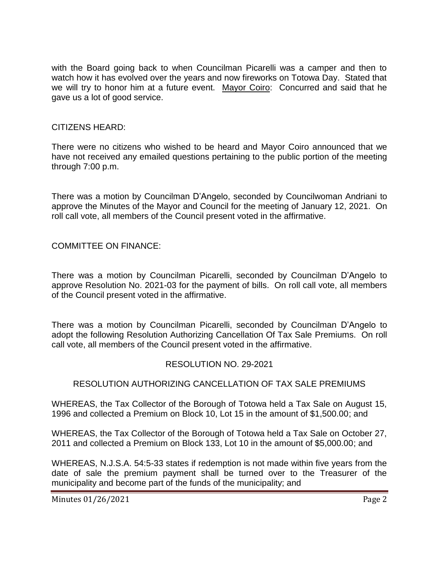with the Board going back to when Councilman Picarelli was a camper and then to watch how it has evolved over the years and now fireworks on Totowa Day. Stated that we will try to honor him at a future event. Mayor Coiro: Concurred and said that he gave us a lot of good service.

#### CITIZENS HEARD:

There were no citizens who wished to be heard and Mayor Coiro announced that we have not received any emailed questions pertaining to the public portion of the meeting through 7:00 p.m.

There was a motion by Councilman D'Angelo, seconded by Councilwoman Andriani to approve the Minutes of the Mayor and Council for the meeting of January 12, 2021. On roll call vote, all members of the Council present voted in the affirmative.

COMMITTEE ON FINANCE:

There was a motion by Councilman Picarelli, seconded by Councilman D'Angelo to approve Resolution No. 2021-03 for the payment of bills. On roll call vote, all members of the Council present voted in the affirmative.

There was a motion by Councilman Picarelli, seconded by Councilman D'Angelo to adopt the following Resolution Authorizing Cancellation Of Tax Sale Premiums. On roll call vote, all members of the Council present voted in the affirmative.

#### RESOLUTION NO. 29-2021

# RESOLUTION AUTHORIZING CANCELLATION OF TAX SALE PREMIUMS

WHEREAS, the Tax Collector of the Borough of Totowa held a Tax Sale on August 15, 1996 and collected a Premium on Block 10, Lot 15 in the amount of \$1,500.00; and

WHEREAS, the Tax Collector of the Borough of Totowa held a Tax Sale on October 27, 2011 and collected a Premium on Block 133, Lot 10 in the amount of \$5,000.00; and

WHEREAS, N.J.S.A. 54:5-33 states if redemption is not made within five years from the date of sale the premium payment shall be turned over to the Treasurer of the municipality and become part of the funds of the municipality; and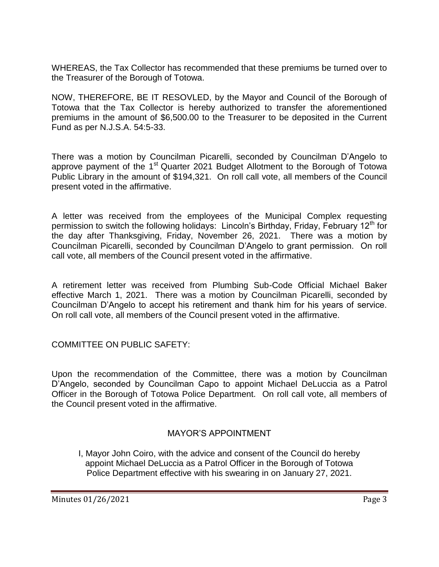WHEREAS, the Tax Collector has recommended that these premiums be turned over to the Treasurer of the Borough of Totowa.

NOW, THEREFORE, BE IT RESOVLED, by the Mayor and Council of the Borough of Totowa that the Tax Collector is hereby authorized to transfer the aforementioned premiums in the amount of \$6,500.00 to the Treasurer to be deposited in the Current Fund as per N.J.S.A. 54:5-33.

There was a motion by Councilman Picarelli, seconded by Councilman D'Angelo to approve payment of the 1<sup>st</sup> Quarter 2021 Budget Allotment to the Borough of Totowa Public Library in the amount of \$194,321. On roll call vote, all members of the Council present voted in the affirmative.

A letter was received from the employees of the Municipal Complex requesting permission to switch the following holidays: Lincoln's Birthday, Friday, February 12<sup>th</sup> for the day after Thanksgiving, Friday, November 26, 2021. There was a motion by Councilman Picarelli, seconded by Councilman D'Angelo to grant permission. On roll call vote, all members of the Council present voted in the affirmative.

A retirement letter was received from Plumbing Sub-Code Official Michael Baker effective March 1, 2021. There was a motion by Councilman Picarelli, seconded by Councilman D'Angelo to accept his retirement and thank him for his years of service. On roll call vote, all members of the Council present voted in the affirmative.

COMMITTEE ON PUBLIC SAFETY:

Upon the recommendation of the Committee, there was a motion by Councilman D'Angelo, seconded by Councilman Capo to appoint Michael DeLuccia as a Patrol Officer in the Borough of Totowa Police Department. On roll call vote, all members of the Council present voted in the affirmative.

# MAYOR'S APPOINTMENT

I, Mayor John Coiro, with the advice and consent of the Council do hereby appoint Michael DeLuccia as a Patrol Officer in the Borough of Totowa Police Department effective with his swearing in on January 27, 2021.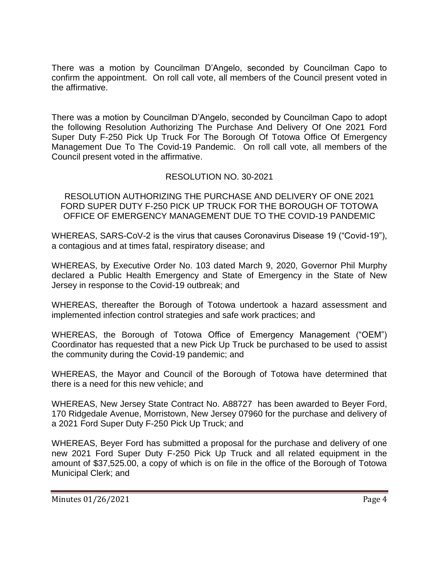There was a motion by Councilman D'Angelo, seconded by Councilman Capo to confirm the appointment. On roll call vote, all members of the Council present voted in the affirmative.

There was a motion by Councilman D'Angelo, seconded by Councilman Capo to adopt the following Resolution Authorizing The Purchase And Delivery Of One 2021 Ford Super Duty F-250 Pick Up Truck For The Borough Of Totowa Office Of Emergency Management Due To The Covid-19 Pandemic. On roll call vote, all members of the Council present voted in the affirmative.

# RESOLUTION NO. 30-2021

RESOLUTION AUTHORIZING THE PURCHASE AND DELIVERY OF ONE 2021 FORD SUPER DUTY F-250 PICK UP TRUCK FOR THE BOROUGH OF TOTOWA OFFICE OF EMERGENCY MANAGEMENT DUE TO THE COVID-19 PANDEMIC

WHEREAS, SARS-CoV-2 is the virus that causes Coronavirus Disease 19 ("Covid-19"), a contagious and at times fatal, respiratory disease; and

WHEREAS, by Executive Order No. 103 dated March 9, 2020, Governor Phil Murphy declared a Public Health Emergency and State of Emergency in the State of New Jersey in response to the Covid-19 outbreak; and

WHEREAS, thereafter the Borough of Totowa undertook a hazard assessment and implemented infection control strategies and safe work practices; and

WHEREAS, the Borough of Totowa Office of Emergency Management ("OEM") Coordinator has requested that a new Pick Up Truck be purchased to be used to assist the community during the Covid-19 pandemic; and

WHEREAS, the Mayor and Council of the Borough of Totowa have determined that there is a need for this new vehicle; and

WHEREAS, New Jersey State Contract No. A88727 has been awarded to Beyer Ford, 170 Ridgedale Avenue, Morristown, New Jersey 07960 for the purchase and delivery of a 2021 Ford Super Duty F-250 Pick Up Truck; and

WHEREAS, Beyer Ford has submitted a proposal for the purchase and delivery of one new 2021 Ford Super Duty F-250 Pick Up Truck and all related equipment in the amount of \$37,525.00, a copy of which is on file in the office of the Borough of Totowa Municipal Clerk; and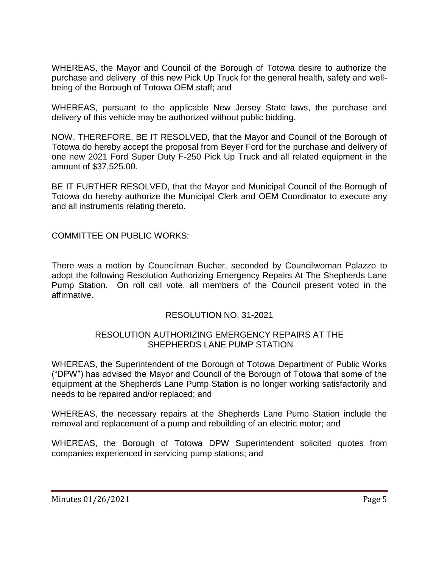WHEREAS, the Mayor and Council of the Borough of Totowa desire to authorize the purchase and delivery of this new Pick Up Truck for the general health, safety and wellbeing of the Borough of Totowa OEM staff; and

WHEREAS, pursuant to the applicable New Jersey State laws, the purchase and delivery of this vehicle may be authorized without public bidding.

NOW, THEREFORE, BE IT RESOLVED, that the Mayor and Council of the Borough of Totowa do hereby accept the proposal from Beyer Ford for the purchase and delivery of one new 2021 Ford Super Duty F-250 Pick Up Truck and all related equipment in the amount of \$37,525.00.

BE IT FURTHER RESOLVED, that the Mayor and Municipal Council of the Borough of Totowa do hereby authorize the Municipal Clerk and OEM Coordinator to execute any and all instruments relating thereto.

COMMITTEE ON PUBLIC WORKS:

There was a motion by Councilman Bucher, seconded by Councilwoman Palazzo to adopt the following Resolution Authorizing Emergency Repairs At The Shepherds Lane Pump Station. On roll call vote, all members of the Council present voted in the affirmative.

# RESOLUTION NO. 31-2021

#### RESOLUTION AUTHORIZING EMERGENCY REPAIRS AT THE SHEPHERDS LANE PUMP STATION

WHEREAS, the Superintendent of the Borough of Totowa Department of Public Works ("DPW") has advised the Mayor and Council of the Borough of Totowa that some of the equipment at the Shepherds Lane Pump Station is no longer working satisfactorily and needs to be repaired and/or replaced; and

WHEREAS, the necessary repairs at the Shepherds Lane Pump Station include the removal and replacement of a pump and rebuilding of an electric motor; and

WHEREAS, the Borough of Totowa DPW Superintendent solicited quotes from companies experienced in servicing pump stations; and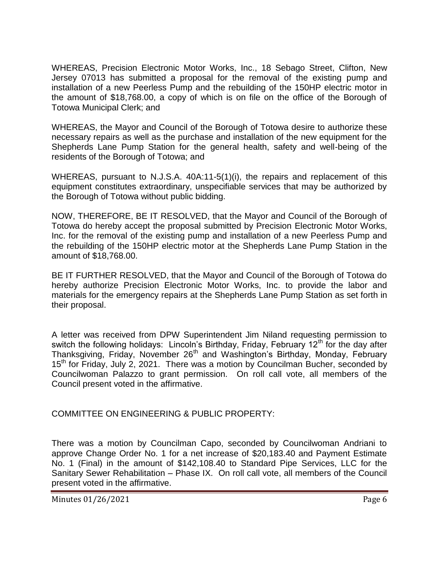WHEREAS, Precision Electronic Motor Works, Inc., 18 Sebago Street, Clifton, New Jersey 07013 has submitted a proposal for the removal of the existing pump and installation of a new Peerless Pump and the rebuilding of the 150HP electric motor in the amount of \$18,768.00, a copy of which is on file on the office of the Borough of Totowa Municipal Clerk; and

WHEREAS, the Mayor and Council of the Borough of Totowa desire to authorize these necessary repairs as well as the purchase and installation of the new equipment for the Shepherds Lane Pump Station for the general health, safety and well-being of the residents of the Borough of Totowa; and

WHEREAS, pursuant to N.J.S.A. 40A:11-5(1)(i), the repairs and replacement of this equipment constitutes extraordinary, unspecifiable services that may be authorized by the Borough of Totowa without public bidding.

NOW, THEREFORE, BE IT RESOLVED, that the Mayor and Council of the Borough of Totowa do hereby accept the proposal submitted by Precision Electronic Motor Works, Inc. for the removal of the existing pump and installation of a new Peerless Pump and the rebuilding of the 150HP electric motor at the Shepherds Lane Pump Station in the amount of \$18,768.00.

BE IT FURTHER RESOLVED, that the Mayor and Council of the Borough of Totowa do hereby authorize Precision Electronic Motor Works, Inc. to provide the labor and materials for the emergency repairs at the Shepherds Lane Pump Station as set forth in their proposal.

A letter was received from DPW Superintendent Jim Niland requesting permission to switch the following holidays: Lincoln's Birthday, Friday, February 12<sup>th</sup> for the day after Thanksgiving, Friday, November 26th and Washington's Birthday, Monday, February 15<sup>th</sup> for Friday, July 2, 2021. There was a motion by Councilman Bucher, seconded by Councilwoman Palazzo to grant permission. On roll call vote, all members of the Council present voted in the affirmative.

COMMITTEE ON ENGINEERING & PUBLIC PROPERTY:

There was a motion by Councilman Capo, seconded by Councilwoman Andriani to approve Change Order No. 1 for a net increase of \$20,183.40 and Payment Estimate No. 1 (Final) in the amount of \$142,108.40 to Standard Pipe Services, LLC for the Sanitary Sewer Rehabilitation – Phase IX. On roll call vote, all members of the Council present voted in the affirmative.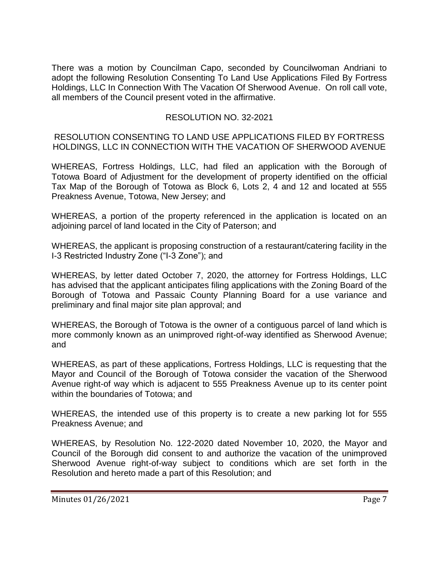There was a motion by Councilman Capo, seconded by Councilwoman Andriani to adopt the following Resolution Consenting To Land Use Applications Filed By Fortress Holdings, LLC In Connection With The Vacation Of Sherwood Avenue. On roll call vote, all members of the Council present voted in the affirmative.

### RESOLUTION NO. 32-2021

RESOLUTION CONSENTING TO LAND USE APPLICATIONS FILED BY FORTRESS HOLDINGS, LLC IN CONNECTION WITH THE VACATION OF SHERWOOD AVENUE

WHEREAS, Fortress Holdings, LLC, had filed an application with the Borough of Totowa Board of Adjustment for the development of property identified on the official Tax Map of the Borough of Totowa as Block 6, Lots 2, 4 and 12 and located at 555 Preakness Avenue, Totowa, New Jersey; and

WHEREAS, a portion of the property referenced in the application is located on an adjoining parcel of land located in the City of Paterson; and

WHEREAS, the applicant is proposing construction of a restaurant/catering facility in the I-3 Restricted Industry Zone ("I-3 Zone"); and

WHEREAS, by letter dated October 7, 2020, the attorney for Fortress Holdings, LLC has advised that the applicant anticipates filing applications with the Zoning Board of the Borough of Totowa and Passaic County Planning Board for a use variance and preliminary and final major site plan approval; and

WHEREAS, the Borough of Totowa is the owner of a contiguous parcel of land which is more commonly known as an unimproved right-of-way identified as Sherwood Avenue; and

WHEREAS, as part of these applications, Fortress Holdings, LLC is requesting that the Mayor and Council of the Borough of Totowa consider the vacation of the Sherwood Avenue right-of way which is adjacent to 555 Preakness Avenue up to its center point within the boundaries of Totowa; and

WHEREAS, the intended use of this property is to create a new parking lot for 555 Preakness Avenue; and

WHEREAS, by Resolution No. 122-2020 dated November 10, 2020, the Mayor and Council of the Borough did consent to and authorize the vacation of the unimproved Sherwood Avenue right-of-way subject to conditions which are set forth in the Resolution and hereto made a part of this Resolution; and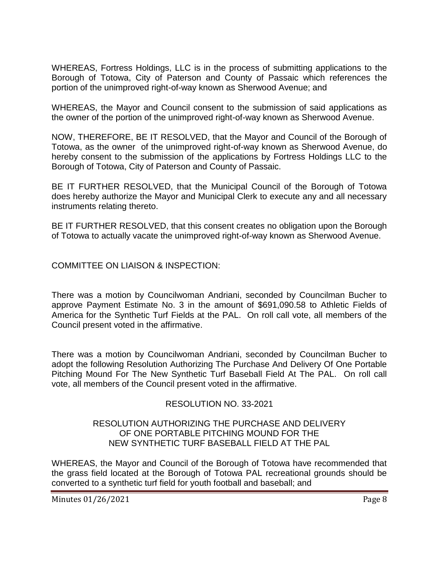WHEREAS, Fortress Holdings, LLC is in the process of submitting applications to the Borough of Totowa, City of Paterson and County of Passaic which references the portion of the unimproved right-of-way known as Sherwood Avenue; and

WHEREAS, the Mayor and Council consent to the submission of said applications as the owner of the portion of the unimproved right-of-way known as Sherwood Avenue.

NOW, THEREFORE, BE IT RESOLVED, that the Mayor and Council of the Borough of Totowa, as the owner of the unimproved right-of-way known as Sherwood Avenue, do hereby consent to the submission of the applications by Fortress Holdings LLC to the Borough of Totowa, City of Paterson and County of Passaic.

BE IT FURTHER RESOLVED, that the Municipal Council of the Borough of Totowa does hereby authorize the Mayor and Municipal Clerk to execute any and all necessary instruments relating thereto.

BE IT FURTHER RESOLVED, that this consent creates no obligation upon the Borough of Totowa to actually vacate the unimproved right-of-way known as Sherwood Avenue.

COMMITTEE ON LIAISON & INSPECTION:

There was a motion by Councilwoman Andriani, seconded by Councilman Bucher to approve Payment Estimate No. 3 in the amount of \$691,090.58 to Athletic Fields of America for the Synthetic Turf Fields at the PAL. On roll call vote, all members of the Council present voted in the affirmative.

There was a motion by Councilwoman Andriani, seconded by Councilman Bucher to adopt the following Resolution Authorizing The Purchase And Delivery Of One Portable Pitching Mound For The New Synthetic Turf Baseball Field At The PAL. On roll call vote, all members of the Council present voted in the affirmative.

# RESOLUTION NO. 33-2021

#### RESOLUTION AUTHORIZING THE PURCHASE AND DELIVERY OF ONE PORTABLE PITCHING MOUND FOR THE NEW SYNTHETIC TURF BASEBALL FIELD AT THE PAL

WHEREAS, the Mayor and Council of the Borough of Totowa have recommended that the grass field located at the Borough of Totowa PAL recreational grounds should be converted to a synthetic turf field for youth football and baseball; and

Minutes 01/26/2021 Page 8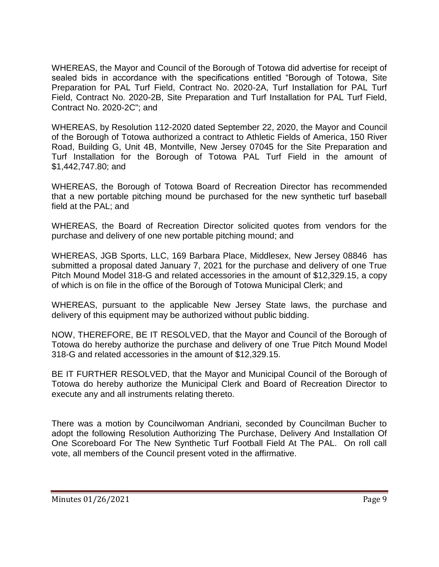WHEREAS, the Mayor and Council of the Borough of Totowa did advertise for receipt of sealed bids in accordance with the specifications entitled "Borough of Totowa, Site Preparation for PAL Turf Field, Contract No. 2020-2A, Turf Installation for PAL Turf Field, Contract No. 2020-2B, Site Preparation and Turf Installation for PAL Turf Field, Contract No. 2020-2C"; and

WHEREAS, by Resolution 112-2020 dated September 22, 2020, the Mayor and Council of the Borough of Totowa authorized a contract to Athletic Fields of America, 150 River Road, Building G, Unit 4B, Montville, New Jersey 07045 for the Site Preparation and Turf Installation for the Borough of Totowa PAL Turf Field in the amount of \$1,442,747.80; and

WHEREAS, the Borough of Totowa Board of Recreation Director has recommended that a new portable pitching mound be purchased for the new synthetic turf baseball field at the PAL; and

WHEREAS, the Board of Recreation Director solicited quotes from vendors for the purchase and delivery of one new portable pitching mound; and

WHEREAS, JGB Sports, LLC, 169 Barbara Place, Middlesex, New Jersey 08846 has submitted a proposal dated January 7, 2021 for the purchase and delivery of one True Pitch Mound Model 318-G and related accessories in the amount of \$12,329.15, a copy of which is on file in the office of the Borough of Totowa Municipal Clerk; and

WHEREAS, pursuant to the applicable New Jersey State laws, the purchase and delivery of this equipment may be authorized without public bidding.

NOW, THEREFORE, BE IT RESOLVED, that the Mayor and Council of the Borough of Totowa do hereby authorize the purchase and delivery of one True Pitch Mound Model 318-G and related accessories in the amount of \$12,329.15.

BE IT FURTHER RESOLVED, that the Mayor and Municipal Council of the Borough of Totowa do hereby authorize the Municipal Clerk and Board of Recreation Director to execute any and all instruments relating thereto.

There was a motion by Councilwoman Andriani, seconded by Councilman Bucher to adopt the following Resolution Authorizing The Purchase, Delivery And Installation Of One Scoreboard For The New Synthetic Turf Football Field At The PAL. On roll call vote, all members of the Council present voted in the affirmative.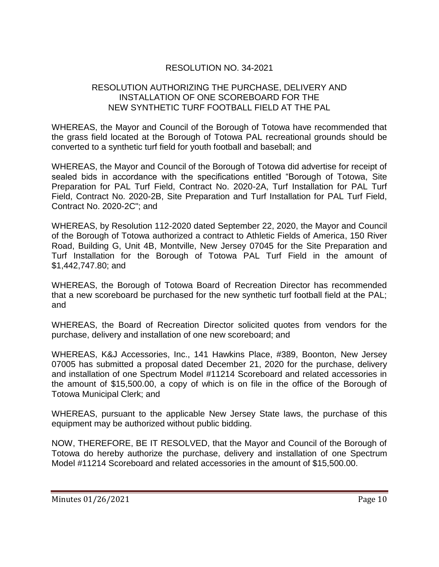# RESOLUTION NO. 34-2021

### RESOLUTION AUTHORIZING THE PURCHASE, DELIVERY AND INSTALLATION OF ONE SCOREBOARD FOR THE NEW SYNTHETIC TURF FOOTBALL FIELD AT THE PAL

WHEREAS, the Mayor and Council of the Borough of Totowa have recommended that the grass field located at the Borough of Totowa PAL recreational grounds should be converted to a synthetic turf field for youth football and baseball; and

WHEREAS, the Mayor and Council of the Borough of Totowa did advertise for receipt of sealed bids in accordance with the specifications entitled "Borough of Totowa, Site Preparation for PAL Turf Field, Contract No. 2020-2A, Turf Installation for PAL Turf Field, Contract No. 2020-2B, Site Preparation and Turf Installation for PAL Turf Field, Contract No. 2020-2C"; and

WHEREAS, by Resolution 112-2020 dated September 22, 2020, the Mayor and Council of the Borough of Totowa authorized a contract to Athletic Fields of America, 150 River Road, Building G, Unit 4B, Montville, New Jersey 07045 for the Site Preparation and Turf Installation for the Borough of Totowa PAL Turf Field in the amount of \$1,442,747.80; and

WHEREAS, the Borough of Totowa Board of Recreation Director has recommended that a new scoreboard be purchased for the new synthetic turf football field at the PAL; and

WHEREAS, the Board of Recreation Director solicited quotes from vendors for the purchase, delivery and installation of one new scoreboard; and

WHEREAS, K&J Accessories, Inc., 141 Hawkins Place, #389, Boonton, New Jersey 07005 has submitted a proposal dated December 21, 2020 for the purchase, delivery and installation of one Spectrum Model #11214 Scoreboard and related accessories in the amount of \$15,500.00, a copy of which is on file in the office of the Borough of Totowa Municipal Clerk; and

WHEREAS, pursuant to the applicable New Jersey State laws, the purchase of this equipment may be authorized without public bidding.

NOW, THEREFORE, BE IT RESOLVED, that the Mayor and Council of the Borough of Totowa do hereby authorize the purchase, delivery and installation of one Spectrum Model #11214 Scoreboard and related accessories in the amount of \$15,500.00.